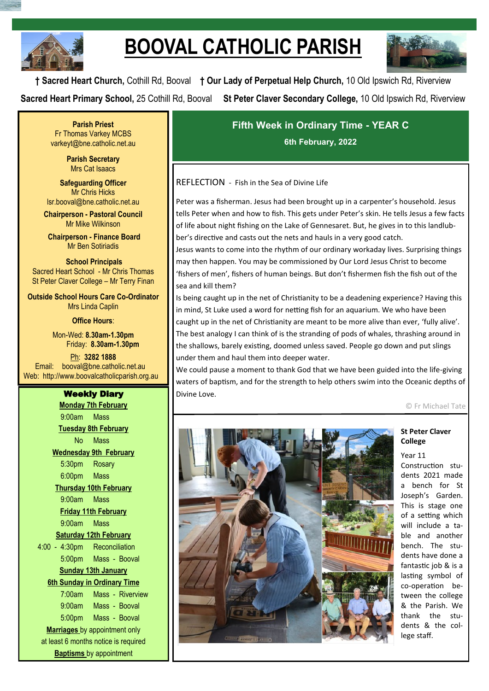

# **BOOVAL CATHOLIC PARISH**



**† Sacred Heart Church,** Cothill Rd, Booval **† Our Lady of Perpetual Help Church,** 10 Old Ipswich Rd, Riverview **Sacred Heart Primary School,** 25 Cothill Rd, Booval **St Peter Claver Secondary College,** 10 Old Ipswich Rd, Riverview

**Parish Priest** Fr Thomas Varkey MCBS varkeyt@bne.catholic.net.au

> **Parish Secretary** Mrs Cat Isaacs

**Safeguarding Officer** Mr Chris Hicks [lsr.booval@bne.catholic.net.au](mailto:lsr.booval@bne.catholi.net.au)

**Chairperson - Pastoral Council** Mr Mike Wilkinson

**Chairperson - Finance Board** Mr Ben Sotiriadis

**School Principals** Sacred Heart School - Mr Chris Thomas St Peter Claver College – Mr Terry Finan

**Outside School Hours Care Co-Ordinator** Mrs Linda Caplin

**Office Hours**:

Mon-Wed: **8.30am-1.30pm** Friday: **8.30am-1.30pm**

Ph: **3282 1888**  Email: booval@bne.catholic.net.au Web: http://www.boovalcatholicparish.org.au

# Weekly Diary

**Monday 7th February** 9:00am Mass **Tuesday 8th February** No Mass **Wednesday 9th February** 5:30pm Rosary 6:00pm Mass **Thursday 10th February** 9:00am Mass **Friday 11th February** 9:00am Mass **Saturday 12th February** 4:00 - 4:30pm Reconciliation 5:00pm Mass - Booval **Sunday 13th January 6th Sunday in Ordinary Time**  7:00am Mass - Riverview 9:00am Mass - Booval 5:00pm Mass - Booval **Marriages** by appointment only at least 6 months notice is required **Baptisms** by appointment

**Fifth Week in Ordinary Time - YEAR C 6th February, 2022**

# REFLECTION - Fish in the Sea of Divine Life

Peter was a fisherman. Jesus had been brought up in a carpenter's household. Jesus tells Peter when and how to fish. This gets under Peter's skin. He tells Jesus a few facts of life about night fishing on the Lake of Gennesaret. But, he gives in to this landlubber's directive and casts out the nets and hauls in a very good catch.

Jesus wants to come into the rhythm of our ordinary workaday lives. Surprising things may then happen. You may be commissioned by Our Lord Jesus Christ to become 'fishers of men', fishers of human beings. But don't fishermen fish the fish out of the sea and kill them?

Is being caught up in the net of Christianity to be a deadening experience? Having this in mind, St Luke used a word for netting fish for an aquarium. We who have been caught up in the net of Christianity are meant to be more alive than ever, 'fully alive'. The best analogy I can think of is the stranding of pods of whales, thrashing around in the shallows, barely existing, doomed unless saved. People go down and put slings under them and haul them into deeper water.

We could pause a moment to thank God that we have been guided into the life-giving waters of baptism, and for the strength to help others swim into the Oceanic depths of Divine Love.

© Fr Michael Tate



### **St Peter Claver College**

Year 11

Construction students 2021 made a bench for St Joseph's Garden. This is stage one of a setting which will include a table and another bench. The students have done a fantastic job & is a lasting symbol of co-operation between the college & the Parish. We thank the students & the college staff.